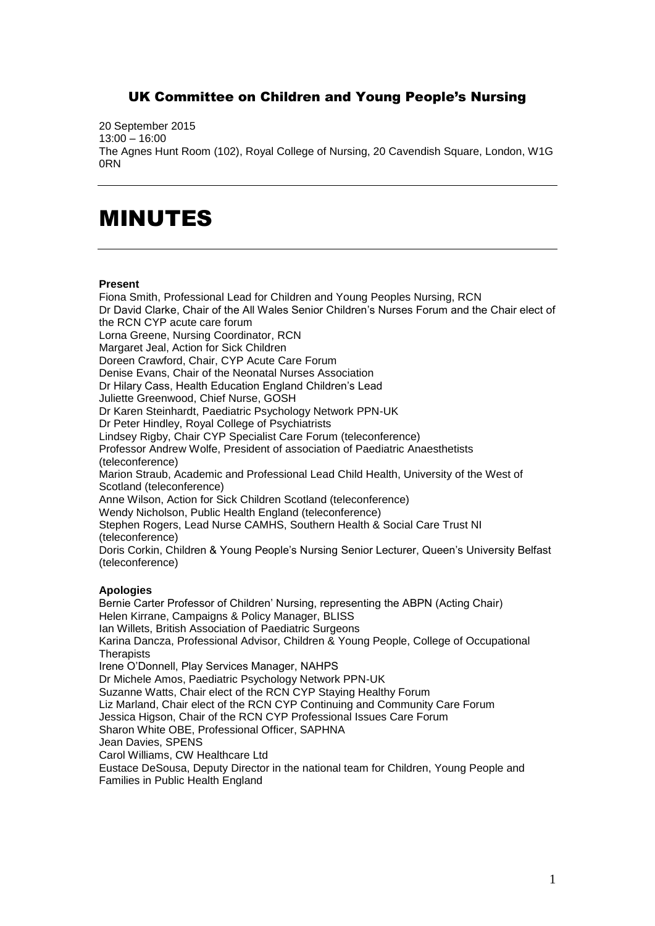## UK Committee on Children and Young People's Nursing

20 September 2015 13:00 – 16:00 The Agnes Hunt Room (102), Royal College of Nursing, 20 Cavendish Square, London, W1G 0RN

## MINUTES

## **Present**

Fiona Smith, Professional Lead for Children and Young Peoples Nursing, RCN Dr David Clarke, Chair of the All Wales Senior Children's Nurses Forum and the Chair elect of the RCN CYP acute care forum Lorna Greene, Nursing Coordinator, RCN Margaret Jeal, Action for Sick Children Doreen Crawford, Chair, CYP Acute Care Forum Denise Evans, Chair of the Neonatal Nurses Association Dr Hilary Cass, Health Education England Children's Lead Juliette Greenwood, Chief Nurse, GOSH Dr Karen Steinhardt, Paediatric Psychology Network PPN-UK Dr Peter Hindley, Royal College of Psychiatrists Lindsey Rigby, Chair CYP Specialist Care Forum (teleconference) Professor Andrew Wolfe, President of association of Paediatric Anaesthetists (teleconference) Marion Straub, Academic and Professional Lead Child Health, University of the West of Scotland (teleconference) Anne Wilson, Action for Sick Children Scotland (teleconference) Wendy Nicholson, Public Health England (teleconference) Stephen Rogers, Lead Nurse CAMHS, Southern Health & Social Care Trust NI (teleconference) Doris Corkin, Children & Young People's Nursing Senior Lecturer, Queen's University Belfast (teleconference)

## **Apologies**

Bernie Carter Professor of Children' Nursing, representing the ABPN (Acting Chair) Helen Kirrane, Campaigns & Policy Manager, BLISS Ian Willets, British Association of Paediatric Surgeons Karina Dancza, Professional Advisor, Children & Young People, College of Occupational **Therapists** Irene O'Donnell, Play Services Manager, NAHPS Dr Michele Amos, Paediatric Psychology Network PPN-UK Suzanne Watts, Chair elect of the RCN CYP Staying Healthy Forum Liz Marland, Chair elect of the RCN CYP Continuing and Community Care Forum Jessica Higson, Chair of the RCN CYP Professional Issues Care Forum Sharon White OBE, Professional Officer, SAPHNA Jean Davies, SPENS Carol Williams, CW Healthcare Ltd Eustace DeSousa, Deputy Director in the national team for Children, Young People and Families in Public Health England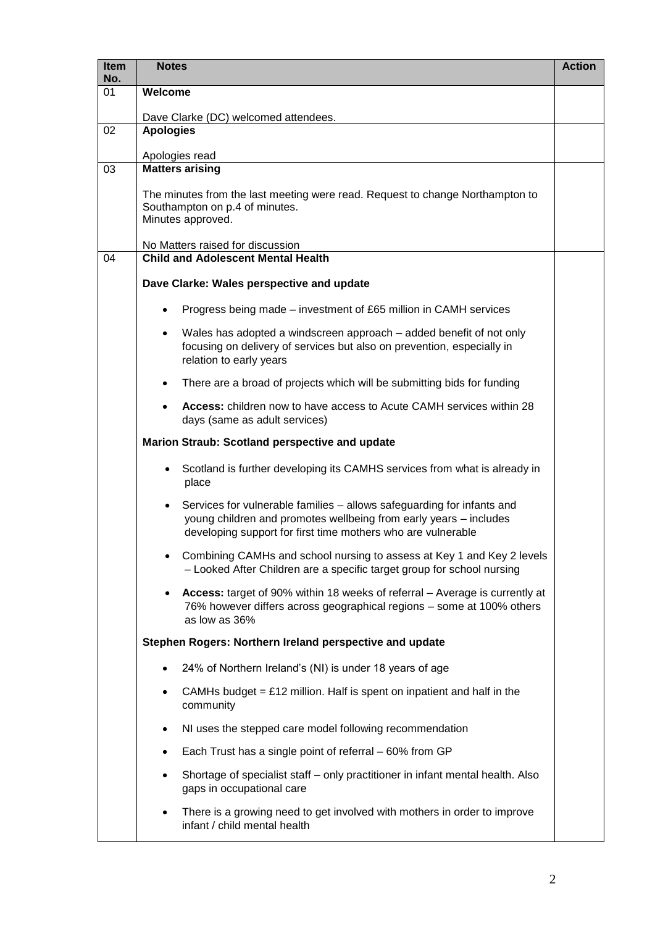| <b>Item</b><br>No. | <b>Notes</b>                                                                                                                                                                                                     | <b>Action</b> |  |  |
|--------------------|------------------------------------------------------------------------------------------------------------------------------------------------------------------------------------------------------------------|---------------|--|--|
| 01                 | Welcome                                                                                                                                                                                                          |               |  |  |
|                    | Dave Clarke (DC) welcomed attendees.                                                                                                                                                                             |               |  |  |
| 02                 | <b>Apologies</b>                                                                                                                                                                                                 |               |  |  |
|                    | Apologies read                                                                                                                                                                                                   |               |  |  |
| 03                 | <b>Matters arising</b>                                                                                                                                                                                           |               |  |  |
|                    | The minutes from the last meeting were read. Request to change Northampton to<br>Southampton on p.4 of minutes.<br>Minutes approved.                                                                             |               |  |  |
|                    | No Matters raised for discussion                                                                                                                                                                                 |               |  |  |
| 04                 | <b>Child and Adolescent Mental Health</b>                                                                                                                                                                        |               |  |  |
|                    | Dave Clarke: Wales perspective and update                                                                                                                                                                        |               |  |  |
|                    | Progress being made – investment of £65 million in CAMH services                                                                                                                                                 |               |  |  |
|                    | Wales has adopted a windscreen approach – added benefit of not only<br>$\bullet$<br>focusing on delivery of services but also on prevention, especially in<br>relation to early years                            |               |  |  |
|                    | There are a broad of projects which will be submitting bids for funding<br>٠                                                                                                                                     |               |  |  |
|                    | Access: children now to have access to Acute CAMH services within 28<br>days (same as adult services)                                                                                                            |               |  |  |
|                    | Marion Straub: Scotland perspective and update                                                                                                                                                                   |               |  |  |
|                    | Scotland is further developing its CAMHS services from what is already in<br>٠<br>place                                                                                                                          |               |  |  |
|                    | Services for vulnerable families - allows safeguarding for infants and<br>٠<br>young children and promotes wellbeing from early years - includes<br>developing support for first time mothers who are vulnerable |               |  |  |
|                    | Combining CAMHs and school nursing to assess at Key 1 and Key 2 levels<br>- Looked After Children are a specific target group for school nursing                                                                 |               |  |  |
|                    | Access: target of 90% within 18 weeks of referral - Average is currently at<br>٠<br>76% however differs across geographical regions - some at 100% others<br>as low as 36%                                       |               |  |  |
|                    | Stephen Rogers: Northern Ireland perspective and update                                                                                                                                                          |               |  |  |
|                    | 24% of Northern Ireland's (NI) is under 18 years of age<br>$\bullet$                                                                                                                                             |               |  |  |
|                    | CAMHs budget = $£12$ million. Half is spent on inpatient and half in the<br>$\bullet$<br>community                                                                                                               |               |  |  |
|                    | NI uses the stepped care model following recommendation<br>$\bullet$                                                                                                                                             |               |  |  |
|                    | Each Trust has a single point of referral – 60% from GP<br>٠                                                                                                                                                     |               |  |  |
|                    | Shortage of specialist staff - only practitioner in infant mental health. Also<br>gaps in occupational care                                                                                                      |               |  |  |
|                    | There is a growing need to get involved with mothers in order to improve<br>infant / child mental health                                                                                                         |               |  |  |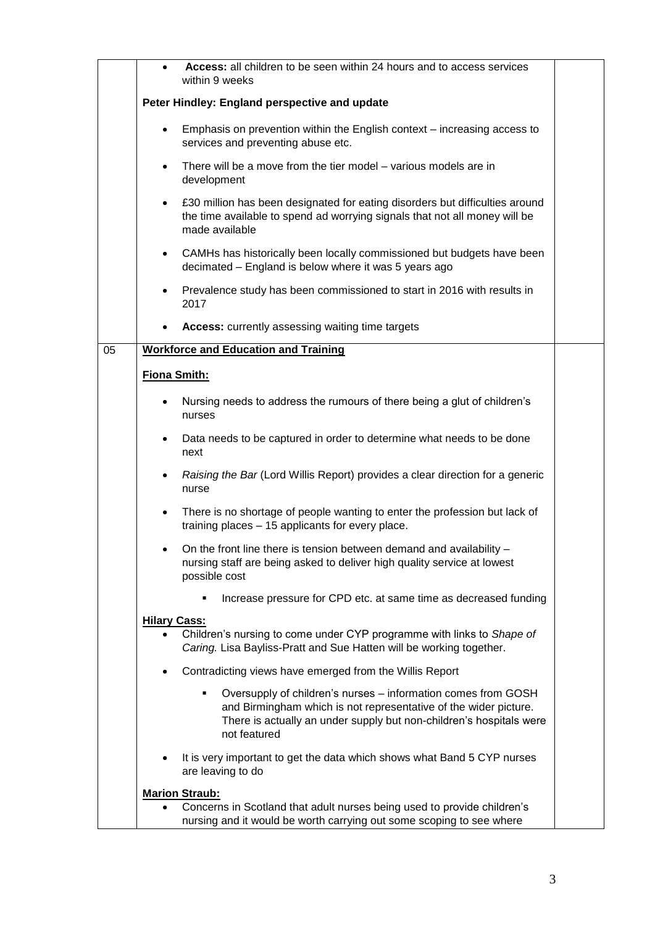|    |                     | Access: all children to be seen within 24 hours and to access services<br>within 9 weeks                                                                                                                                      |  |
|----|---------------------|-------------------------------------------------------------------------------------------------------------------------------------------------------------------------------------------------------------------------------|--|
|    |                     | Peter Hindley: England perspective and update                                                                                                                                                                                 |  |
|    | $\bullet$           | Emphasis on prevention within the English context - increasing access to<br>services and preventing abuse etc.                                                                                                                |  |
|    | $\bullet$           | There will be a move from the tier model – various models are in<br>development                                                                                                                                               |  |
|    | $\bullet$           | £30 million has been designated for eating disorders but difficulties around<br>the time available to spend ad worrying signals that not all money will be<br>made available                                                  |  |
|    | $\bullet$           | CAMHs has historically been locally commissioned but budgets have been<br>decimated - England is below where it was 5 years ago                                                                                               |  |
|    | $\bullet$           | Prevalence study has been commissioned to start in 2016 with results in<br>2017                                                                                                                                               |  |
|    |                     | <b>Access:</b> currently assessing waiting time targets                                                                                                                                                                       |  |
| 05 |                     | <b>Workforce and Education and Training</b>                                                                                                                                                                                   |  |
|    | Fiona Smith:        |                                                                                                                                                                                                                               |  |
|    | ٠                   | Nursing needs to address the rumours of there being a glut of children's<br>nurses                                                                                                                                            |  |
|    | $\bullet$           | Data needs to be captured in order to determine what needs to be done<br>next                                                                                                                                                 |  |
|    | $\bullet$           | Raising the Bar (Lord Willis Report) provides a clear direction for a generic<br>nurse                                                                                                                                        |  |
|    | $\bullet$           | There is no shortage of people wanting to enter the profession but lack of<br>training places - 15 applicants for every place.                                                                                                |  |
|    |                     | On the front line there is tension between demand and availability -<br>nursing staff are being asked to deliver high quality service at lowest<br>possible cost                                                              |  |
|    |                     | Increase pressure for CPD etc. at same time as decreased funding                                                                                                                                                              |  |
|    | <b>Hilary Cass:</b> | Children's nursing to come under CYP programme with links to Shape of<br>Caring. Lisa Bayliss-Pratt and Sue Hatten will be working together.                                                                                  |  |
|    |                     | Contradicting views have emerged from the Willis Report                                                                                                                                                                       |  |
|    |                     | Oversupply of children's nurses - information comes from GOSH<br>٠<br>and Birmingham which is not representative of the wider picture.<br>There is actually an under supply but non-children's hospitals were<br>not featured |  |
|    |                     | It is very important to get the data which shows what Band 5 CYP nurses<br>are leaving to do                                                                                                                                  |  |
|    |                     | <b>Marion Straub:</b><br>Concerns in Scotland that adult nurses being used to provide children's<br>nursing and it would be worth carrying out some scoping to see where                                                      |  |